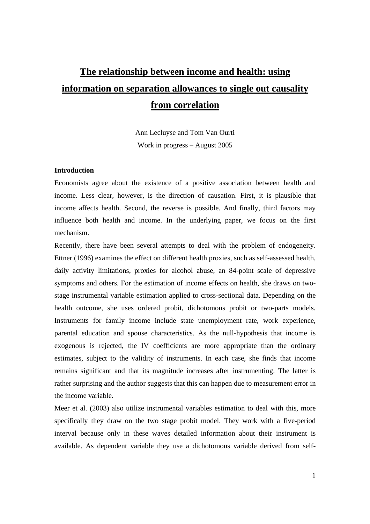# **The relationship between income and health: using information on separation allowances to single out causality from correlation**

Ann Lecluyse and Tom Van Ourti Work in progress – August 2005

#### **Introduction**

Economists agree about the existence of a positive association between health and income. Less clear, however, is the direction of causation. First, it is plausible that income affects health. Second, the reverse is possible. And finally, third factors may influence both health and income. In the underlying paper, we focus on the first mechanism.

Recently, there have been several attempts to deal with the problem of endogeneity. Ettner (1996) examines the effect on different health proxies, such as self-assessed health, daily activity limitations, proxies for alcohol abuse, an 84-point scale of depressive symptoms and others. For the estimation of income effects on health, she draws on twostage instrumental variable estimation applied to cross-sectional data. Depending on the health outcome, she uses ordered probit, dichotomous probit or two-parts models. Instruments for family income include state unemployment rate, work experience, parental education and spouse characteristics. As the null-hypothesis that income is exogenous is rejected, the IV coefficients are more appropriate than the ordinary estimates, subject to the validity of instruments. In each case, she finds that income remains significant and that its magnitude increases after instrumenting. The latter is rather surprising and the author suggests that this can happen due to measurement error in the income variable.

Meer et al. (2003) also utilize instrumental variables estimation to deal with this, more specifically they draw on the two stage probit model. They work with a five-period interval because only in these waves detailed information about their instrument is available. As dependent variable they use a dichotomous variable derived from self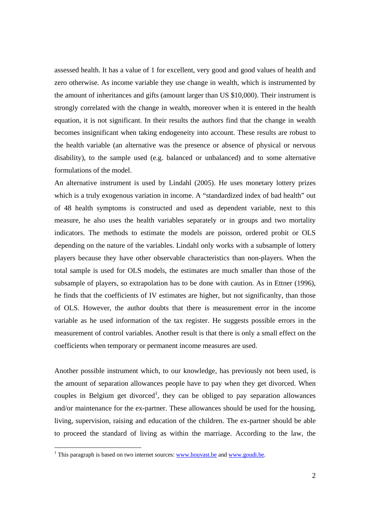assessed health. It has a value of 1 for excellent, very good and good values of health and zero otherwise. As income variable they use change in wealth, which is instrumented by the amount of inheritances and gifts (amount larger than US \$10,000). Their instrument is strongly correlated with the change in wealth, moreover when it is entered in the health equation, it is not significant. In their results the authors find that the change in wealth becomes insignificant when taking endogeneity into account. These results are robust to the health variable (an alternative was the presence or absence of physical or nervous disability), to the sample used (e.g. balanced or unbalanced) and to some alternative formulations of the model.

An alternative instrument is used by Lindahl (2005). He uses monetary lottery prizes which is a truly exogenous variation in income. A "standardized index of bad health" out of 48 health symptoms is constructed and used as dependent variable, next to this measure, he also uses the health variables separately or in groups and two mortality indicators. The methods to estimate the models are poisson, ordered probit or OLS depending on the nature of the variables. Lindahl only works with a subsample of lottery players because they have other observable characteristics than non-players. When the total sample is used for OLS models, the estimates are much smaller than those of the subsample of players, so extrapolation has to be done with caution. As in Ettner (1996), he finds that the coefficients of IV estimates are higher, but not significanlty, than those of OLS. However, the author doubts that there is measurement error in the income variable as he used information of the tax register. He suggests possible errors in the measurement of control variables. Another result is that there is only a small effect on the coefficients when temporary or permanent income measures are used.

Another possible instrument which, to our knowledge, has previously not been used, is the amount of separation allowances people have to pay when they get divorced. When couples in Belgium get divorced<sup>1</sup>, they can be obliged to pay separation allowances and/or maintenance for the ex-partner. These allowances should be used for the housing, living, supervision, raising and education of the children. The ex-partner should be able to proceed the standard of living as within the marriage. According to the law, the

<sup>&</sup>lt;sup>1</sup> This paragraph is based on two internet sources:  $www.houvast.be$  and  $www.goudi.be$ .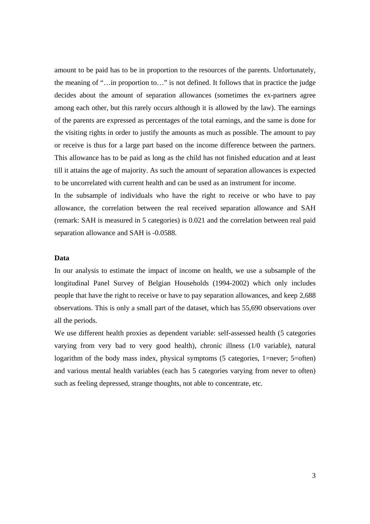amount to be paid has to be in proportion to the resources of the parents. Unfortunately, the meaning of "…in proportion to…" is not defined. It follows that in practice the judge decides about the amount of separation allowances (sometimes the ex-partners agree among each other, but this rarely occurs although it is allowed by the law). The earnings of the parents are expressed as percentages of the total earnings, and the same is done for the visiting rights in order to justify the amounts as much as possible. The amount to pay or receive is thus for a large part based on the income difference between the partners. This allowance has to be paid as long as the child has not finished education and at least till it attains the age of majority. As such the amount of separation allowances is expected to be uncorrelated with current health and can be used as an instrument for income.

In the subsample of individuals who have the right to receive or who have to pay allowance, the correlation between the real received separation allowance and SAH (remark: SAH is measured in 5 categories) is 0.021 and the correlation between real paid separation allowance and SAH is -0.0588.

### **Data**

In our analysis to estimate the impact of income on health, we use a subsample of the longitudinal Panel Survey of Belgian Households (1994-2002) which only includes people that have the right to receive or have to pay separation allowances, and keep 2,688 observations. This is only a small part of the dataset, which has 55,690 observations over all the periods.

We use different health proxies as dependent variable: self-assessed health (5 categories varying from very bad to very good health), chronic illness (1/0 variable), natural logarithm of the body mass index, physical symptoms (5 categories, 1=never; 5=often) and various mental health variables (each has 5 categories varying from never to often) such as feeling depressed, strange thoughts, not able to concentrate, etc.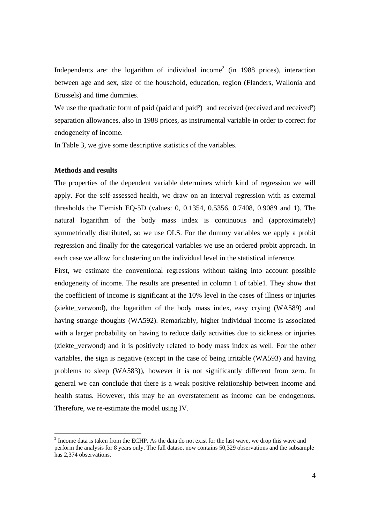Independents are: the logarithm of individual income<sup>2</sup> (in 1988 prices), interaction between age and sex, size of the household, education, region (Flanders, Wallonia and Brussels) and time dummies.

We use the quadratic form of paid (paid and paid<sup>2</sup>) and received (received and received<sup>2</sup>) separation allowances, also in 1988 prices, as instrumental variable in order to correct for endogeneity of income.

In Table 3, we give some descriptive statistics of the variables.

#### **Methods and results**

The properties of the dependent variable determines which kind of regression we will apply. For the self-assessed health, we draw on an interval regression with as external thresholds the Flemish EQ-5D (values: 0, 0.1354, 0.5356, 0.7408, 0.9089 and 1). The natural logarithm of the body mass index is continuous and (approximately) symmetrically distributed, so we use OLS. For the dummy variables we apply a probit regression and finally for the categorical variables we use an ordered probit approach. In each case we allow for clustering on the individual level in the statistical inference.

First, we estimate the conventional regressions without taking into account possible endogeneity of income. The results are presented in column 1 of table1. They show that the coefficient of income is significant at the 10% level in the cases of illness or injuries (ziekte\_verwond), the logarithm of the body mass index, easy crying (WA589) and having strange thoughts (WA592). Remarkably, higher individual income is associated with a larger probability on having to reduce daily activities due to sickness or injuries (ziekte verwond) and it is positively related to body mass index as well. For the other variables, the sign is negative (except in the case of being irritable (WA593) and having problems to sleep (WA583)), however it is not significantly different from zero. In general we can conclude that there is a weak positive relationship between income and health status. However, this may be an overstatement as income can be endogenous. Therefore, we re-estimate the model using IV.

 $2^{2}$  Income data is taken from the ECHP. As the data do not exist for the last wave, we drop this wave and perform the analysis for 8 years only. The full dataset now contains 50,329 observations and the subsample has 2,374 observations.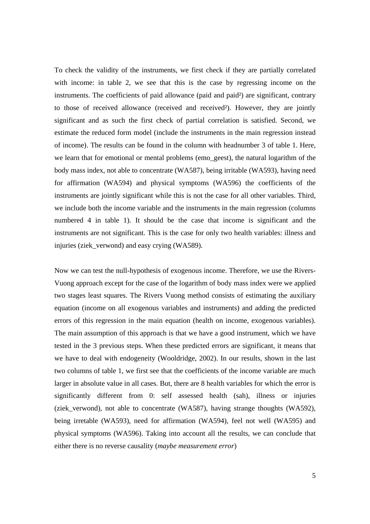To check the validity of the instruments, we first check if they are partially correlated with income: in table 2, we see that this is the case by regressing income on the instruments. The coefficients of paid allowance (paid and paid²) are significant, contrary to those of received allowance (received and received²). However, they are jointly significant and as such the first check of partial correlation is satisfied. Second, we estimate the reduced form model (include the instruments in the main regression instead of income). The results can be found in the column with headnumber 3 of table 1. Here, we learn that for emotional or mental problems (emo\_geest), the natural logarithm of the body mass index, not able to concentrate (WA587), being irritable (WA593), having need for affirmation (WA594) and physical symptoms (WA596) the coefficients of the instruments are jointly significant while this is not the case for all other variables. Third, we include both the income variable and the instruments in the main regression (columns numbered 4 in table 1). It should be the case that income is significant and the instruments are not significant. This is the case for only two health variables: illness and injuries (ziek\_verwond) and easy crying (WA589).

Now we can test the null-hypothesis of exogenous income. Therefore, we use the Rivers-Vuong approach except for the case of the logarithm of body mass index were we applied two stages least squares. The Rivers Vuong method consists of estimating the auxiliary equation (income on all exogenous variables and instruments) and adding the predicted errors of this regression in the main equation (health on income, exogenous variables). The main assumption of this approach is that we have a good instrument, which we have tested in the 3 previous steps. When these predicted errors are significant, it means that we have to deal with endogeneity (Wooldridge, 2002). In our results, shown in the last two columns of table 1, we first see that the coefficients of the income variable are much larger in absolute value in all cases. But, there are 8 health variables for which the error is significantly different from 0: self assessed health (sah), illness or injuries (ziek verwond), not able to concentrate (WA587), having strange thoughts (WA592), being irretable (WA593), need for affirmation (WA594), feel not well (WA595) and physical symptoms (WA596). Taking into account all the results, we can conclude that either there is no reverse causality (*maybe measurement error*)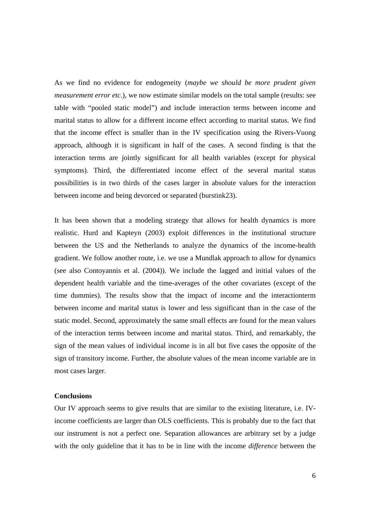As we find no evidence for endogeneity (*maybe we should be more prudent given measurement error etc.*), we now estimate similar models on the total sample (results: see table with "pooled static model") and include interaction terms between income and marital status to allow for a different income effect according to marital status. We find that the income effect is smaller than in the IV specification using the Rivers-Vuong approach, although it is significant in half of the cases. A second finding is that the interaction terms are jointly significant for all health variables (except for physical symptoms). Third, the differentiated income effect of the several marital status possibilities is in two thirds of the cases larger in absolute values for the interaction between income and being devorced or separated (burstink23).

It has been shown that a modeling strategy that allows for health dynamics is more realistic. Hurd and Kapteyn (2003) exploit differences in the institutional structure between the US and the Netherlands to analyze the dynamics of the income-health gradient. We follow another route, i.e. we use a Mundlak approach to allow for dynamics (see also Contoyannis et al. (2004)). We include the lagged and initial values of the dependent health variable and the time-averages of the other covariates (except of the time dummies). The results show that the impact of income and the interactionterm between income and marital status is lower and less significant than in the case of the static model. Second, approximately the same small effects are found for the mean values of the interaction terms between income and marital status. Third, and remarkably, the sign of the mean values of individual income is in all but five cases the opposite of the sign of transitory income. Further, the absolute values of the mean income variable are in most cases larger.

#### **Conclusions**

Our IV approach seems to give results that are similar to the existing literature, i.e. IVincome coefficients are larger than OLS coefficients. This is probably due to the fact that our instrument is not a perfect one. Separation allowances are arbitrary set by a judge with the only guideline that it has to be in line with the income *difference* between the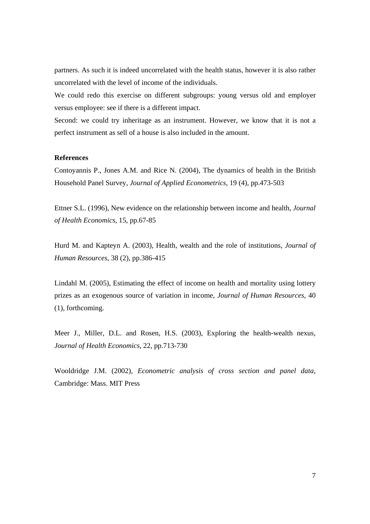partners. As such it is indeed uncorrelated with the health status, however it is also rather uncorrelated with the level of income of the individuals.

We could redo this exercise on different subgroups: young versus old and employer versus employee: see if there is a different impact.

Second: we could try inheritage as an instrument. However, we know that it is not a perfect instrument as sell of a house is also included in the amount.

#### **References**

Contoyannis P., Jones A.M. and Rice N. (2004), The dynamics of health in the British Household Panel Survey, *Journal of Applied Econometrics*, 19 (4), pp.473-503

Ettner S.L. (1996), New evidence on the relationship between income and health, *Journal of Health Economics*, 15, pp.67-85

Hurd M. and Kapteyn A. (2003), Health, wealth and the role of institutions, *Journal of Human Resources*, 38 (2), pp.386-415

Lindahl M. (2005), Estimating the effect of income on health and mortality using lottery prizes as an exogenous source of variation in income, *Journal of Human Resources*, 40 (1), forthcoming.

Meer J., Miller, D.L. and Rosen, H.S. (2003), Exploring the health-wealth nexus, *Journal of Health Economics*, 22, pp.713-730

Wooldridge J.M. (2002), *Econometric analysis of cross section and panel data*, Cambridge: Mass. MIT Press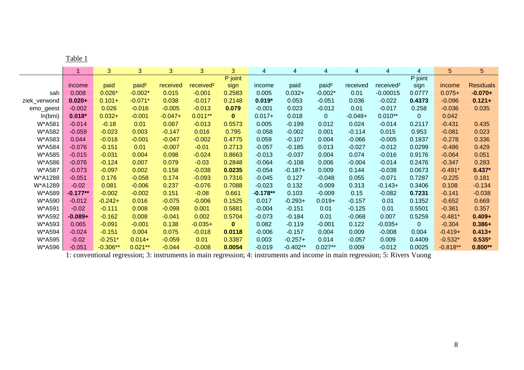|              | $\overline{1}$ | 3          | 3                 | 3 <sup>1</sup> | 3 <sup>1</sup>        | 3 <sup>1</sup> | 4          | 4          | 4                 | 4         | 4                     | 4              | 5          | 5                |
|--------------|----------------|------------|-------------------|----------------|-----------------------|----------------|------------|------------|-------------------|-----------|-----------------------|----------------|------------|------------------|
|              |                |            |                   |                |                       | P joint        |            |            |                   |           |                       | P joint        |            |                  |
|              | income         | paid       | paid <sup>2</sup> | received       | received <sup>2</sup> | sign           | income     | paid       | paid <sup>2</sup> | received  | received <sup>2</sup> | sign           | income     | <b>Residuals</b> |
| sah          | 0.008          | $0.026*$   | $-0.002*$         | 0.015          | $-0.001$              | 0.2583         | 0.005      | $0.032 +$  | $-0.002*$         | 0.01      | $-0.00015$            | 0.0777         | $0.075+$   | $-0.070+$        |
| ziek_verwond | $0.020 +$      | $0.101 +$  | $-0.071*$         | 0.038          | $-0.017$              | 0.2148         | $0.019*$   | 0.053      | $-0.051$          | 0.036     | $-0.022$              | 0.4373         | $-0.096$   | $0.121 +$        |
| emo_geest    | $-0.002$       | 0.026      | $-0.016$          | $-0.005$       | $-0.013$              | 0.079          | $-0.001$   | 0.023      | $-0.012$          | 0.01      | $-0.017$              | 0.258          | $-0.036$   | 0.035            |
| ln(bmi)      | $0.018*$       | $0.032 +$  | $-0.001$          | $-0.047+$      | $0.011**$             | $\mathbf{0}$   | $0.017+$   | 0.018      | $\overline{0}$    | $-0.048+$ | $0.010**$             | $\overline{0}$ | 0.042      |                  |
| W*A581       | $-0.014$       | $-0.18$    | 0.01              | 0.067          | $-0.013$              | 0.5573         | 0.005      | $-0.199$   | 0.012             | 0.024     | $-0.014$              | 0.2117         | $-0.431$   | 0.435            |
| W*A582       | $-0.059$       | $-0.023$   | 0.003             | $-0.147$       | 0.016                 | 0.795          | $-0.058$   | $-0.002$   | 0.001             | $-0.114$  | 0.015                 | 0.953          | $-0.081$   | 0.023            |
| W*A583       | 0.044          | $-0.018$   | $-0.001$          | $-0.047$       | $-0.002$              | 0.4775         | 0.059      | $-0.107$   | 0.004             | $-0.066$  | $-0.005$              | 0.1837         | $-0.278$   | 0.336            |
| W*A584       | $-0.076$       | $-0.151$   | 0.01              | $-0.007$       | $-0.01$               | 0.2713         | $-0.057$   | $-0.185$   | 0.013             | $-0.027$  | $-0.012$              | 0.0299         | $-0.486$   | 0.429            |
| W*A585       | $-0.015$       | $-0.031$   | 0.004             | 0.098          | $-0.024$              | 0.8663         | $-0.013$   | $-0.037$   | 0.004             | 0.074     | $-0.016$              | 0.9176         | $-0.064$   | 0.051            |
| W*A586       | $-0.076$       | $-0.124$   | 0.007             | 0.079          | $-0.03$               | 0.2848         | $-0.064$   | $-0.108$   | 0.006             | $-0.004$  | $-0.014$              | 0.2476         | $-0.347$   | 0.283            |
| W*A587       | $-0.073$       | $-0.097$   | 0.002             | 0.158          | $-0.038$              | 0.0235         | $-0.054$   | $-0.187+$  | 0.009             | 0.144     | $-0.038$              | 0.0673         | $-0.491*$  | $0.437*$         |
| W*A1288      | $-0.051$       | 0.176      | $-0.058$          | 0.174          | $-0.093$              | 0.7316         | $-0.045$   | 0.127      | $-0.048$          | 0.055     | $-0.071$              | 0.7287         | $-0.225$   | 0.181            |
| W*A1289      | $-0.02$        | 0.081      | $-0.006$          | 0.237          | $-0.076$              | 0.7088         | $-0.023$   | 0.132      | $-0.009$          | 0.313     | $-0.143+$             | 0.3406         | 0.108      | $-0.134$         |
| W*A589       | $-0.177**$     | $-0.002$   | $-0.002$          | 0.151          | $-0.08$               | 0.661          | $-0.178**$ | 0.103      | $-0.009$          | 0.15      | $-0.082$              | 0.7231         | $-0.141$   | $-0.038$         |
| W*A590       | $-0.012$       | $-0.242+$  | 0.016             | $-0.075$       | $-0.006$              | 0.1525         | 0.017      | $-0.293+$  | $0.019 +$         | $-0.157$  | 0.01                  | 0.1352         | $-0.652$   | 0.669            |
| W*A591       | $-0.02$        | $-0.111$   | 0.008             | $-0.098$       | 0.001                 | 0.5881         | $-0.004$   | $-0.151$   | 0.01              | $-0.125$  | 0.01                  | 0.5501         | $-0.361$   | 0.357            |
| W*A592       | $-0.089+$      | $-0.162$   | 0.008             | $-0.041$       | 0.002                 | 0.5704         | $-0.073$   | $-0.184$   | 0.01              | $-0.068$  | 0.007                 | 0.5259         | $-0.481*$  | $0.409 +$        |
| W*A593       | 0.065          | $-0.091$   | $-0.001$          | 0.138          | $-0.035+$             | $\mathbf{0}$   | 0.082      | $-0.119$   | $-0.001$          | 0.122     | $-0.035+$             | $\mathbf{0}$   | $-0.304$   | $0.386 +$        |
| W*A594       | $-0.024$       | $-0.151$   | 0.004             | 0.075          | $-0.018$              | 0.0118         | $-0.006$   | $-0.157$   | 0.004             | 0.009     | $-0.008$              | 0.004          | $-0.419+$  | $0.413+$         |
| W*A595       | $-0.02$        | $-0.251*$  | $0.014 +$         | $-0.059$       | 0.01                  | 0.3387         | 0.003      | $-0.257+$  | 0.014             | $-0.057$  | 0.009                 | 0.4409         | $-0.532*$  | $0.535*$         |
| W*A596       | $-0.051$       | $-0.306**$ | $0.021**$         | $-0.044$       | $-0.008$              | 0.0054         | $-0.019$   | $-0.402**$ | $0.027**$         | 0.009     | $-0.012$              | 0.0025         | $-0.818**$ | $0.800**$        |

1: conventional regression; 3: instruments in main regression; 4: instruments and income in main regression; 5: Rivers Vuong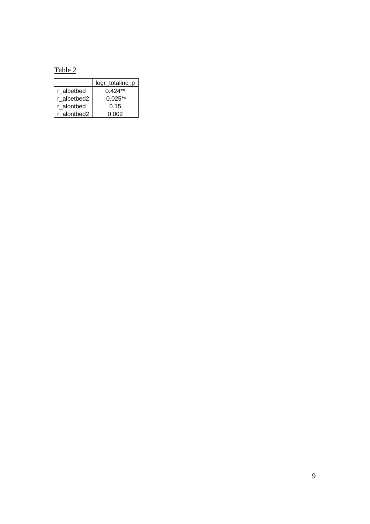Table 2

|             | logr_totalinc_p |
|-------------|-----------------|
| r albetbed  | $0.424**$       |
| r albetbed2 | $-0.025**$      |
| r alontbed  | 0.15            |
| r alontbed2 | 0.002           |